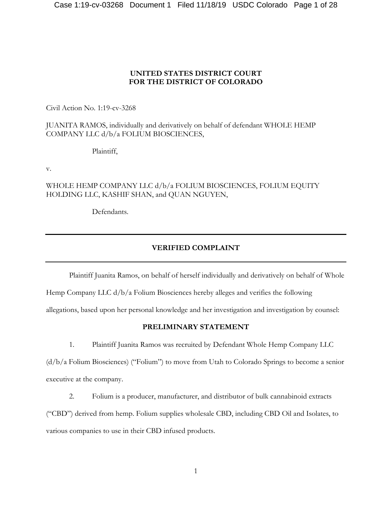## **UNITED STATES DISTRICT COURT FOR THE DISTRICT OF COLORADO**

Civil Action No. 1:19-cv-3268

## JUANITA RAMOS, individually and derivatively on behalf of defendant WHOLE HEMP COMPANY LLC d/b/a FOLIUM BIOSCIENCES,

Plaintiff,

v.

WHOLE HEMP COMPANY LLC d/b/a FOLIUM BIOSCIENCES, FOLIUM EQUITY HOLDING LLC, KASHIF SHAN, and QUAN NGUYEN,

Defendants.

# **VERIFIED COMPLAINT**

Plaintiff Juanita Ramos, on behalf of herself individually and derivatively on behalf of Whole Hemp Company LLC d/b/a Folium Biosciences hereby alleges and verifies the following allegations, based upon her personal knowledge and her investigation and investigation by counsel:

# **PRELIMINARY STATEMENT**

1. Plaintiff Juanita Ramos was recruited by Defendant Whole Hemp Company LLC

(d/b/a Folium Biosciences) ("Folium") to move from Utah to Colorado Springs to become a senior executive at the company.

2. Folium is a producer, manufacturer, and distributor of bulk cannabinoid extracts

("CBD") derived from hemp. Folium supplies wholesale CBD, including CBD Oil and Isolates, to

various companies to use in their CBD infused products.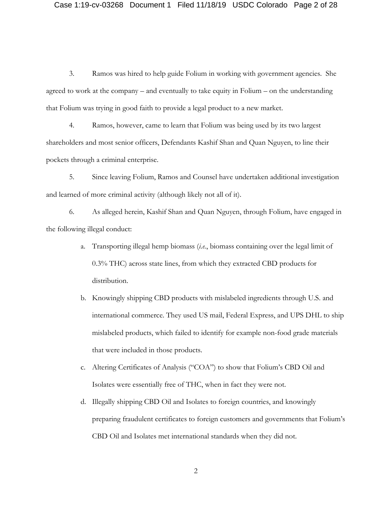3. Ramos was hired to help guide Folium in working with government agencies. She agreed to work at the company – and eventually to take equity in Folium – on the understanding that Folium was trying in good faith to provide a legal product to a new market.

4. Ramos, however, came to learn that Folium was being used by its two largest shareholders and most senior officers, Defendants Kashif Shan and Quan Nguyen, to line their pockets through a criminal enterprise.

5. Since leaving Folium, Ramos and Counsel have undertaken additional investigation and learned of more criminal activity (although likely not all of it).

6. As alleged herein, Kashif Shan and Quan Nguyen, through Folium, have engaged in the following illegal conduct:

- a. Transporting illegal hemp biomass (*i.e.*, biomass containing over the legal limit of 0.3% THC) across state lines, from which they extracted CBD products for distribution.
- b. Knowingly shipping CBD products with mislabeled ingredients through U.S. and international commerce. They used US mail, Federal Express, and UPS DHL to ship mislabeled products, which failed to identify for example non-food grade materials that were included in those products.
- c. Altering Certificates of Analysis ("COA") to show that Folium's CBD Oil and Isolates were essentially free of THC, when in fact they were not.
- d. Illegally shipping CBD Oil and Isolates to foreign countries, and knowingly preparing fraudulent certificates to foreign customers and governments that Folium's CBD Oil and Isolates met international standards when they did not.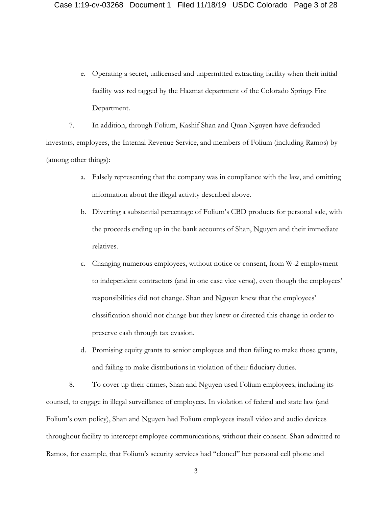e. Operating a secret, unlicensed and unpermitted extracting facility when their initial facility was red tagged by the Hazmat department of the Colorado Springs Fire Department.

7. In addition, through Folium, Kashif Shan and Quan Nguyen have defrauded investors, employees, the Internal Revenue Service, and members of Folium (including Ramos) by (among other things):

- a. Falsely representing that the company was in compliance with the law, and omitting information about the illegal activity described above.
- b. Diverting a substantial percentage of Folium's CBD products for personal sale, with the proceeds ending up in the bank accounts of Shan, Nguyen and their immediate relatives.
- c. Changing numerous employees, without notice or consent, from W-2 employment to independent contractors (and in one case vice versa), even though the employees' responsibilities did not change. Shan and Nguyen knew that the employees' classification should not change but they knew or directed this change in order to preserve cash through tax evasion.
- d. Promising equity grants to senior employees and then failing to make those grants, and failing to make distributions in violation of their fiduciary duties.

8. To cover up their crimes, Shan and Nguyen used Folium employees, including its counsel, to engage in illegal surveillance of employees. In violation of federal and state law (and Folium's own policy), Shan and Nguyen had Folium employees install video and audio devices throughout facility to intercept employee communications, without their consent. Shan admitted to Ramos, for example, that Folium's security services had "cloned" her personal cell phone and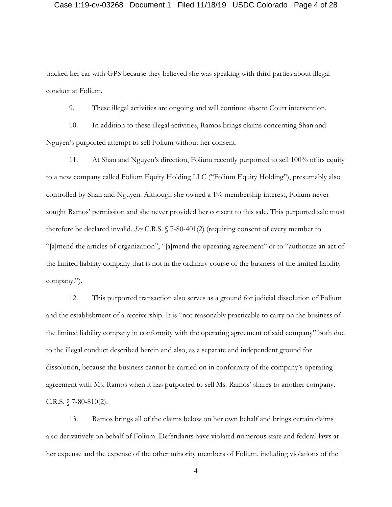#### Case 1:19-cv-03268 Document 1 Filed 11/18/19 USDC Colorado Page 4 of 28

tracked her car with GPS because they believed she was speaking with third parties about illegal conduct at Folium.

9. These illegal activities are ongoing and will continue absent Court intervention.

10. In addition to these illegal activities, Ramos brings claims concerning Shan and Nguyen's purported attempt to sell Folium without her consent.

11. At Shan and Nguyen's direction, Folium recently purported to sell 100% of its equity to a new company called Folium Equity Holding LLC ("Folium Equity Holding"), presumably also controlled by Shan and Nguyen. Although she owned a 1% membership interest, Folium never sought Ramos' permission and she never provided her consent to this sale. This purported sale must therefore be declared invalid. *See* C.R.S. § 7-80-401(2) (requiring consent of every member to "[a]mend the articles of organization", "[a]mend the operating agreement" or to "authorize an act of the limited liability company that is not in the ordinary course of the business of the limited liability company.").

12. This purported transaction also serves as a ground for judicial dissolution of Folium and the establishment of a receivership. It is "not reasonably practicable to carry on the business of the limited liability company in conformity with the operating agreement of said company" both due to the illegal conduct described herein and also, as a separate and independent ground for dissolution, because the business cannot be carried on in conformity of the company's operating agreement with Ms. Ramos when it has purported to sell Ms. Ramos' shares to another company. C.R.S.  $$7-80-810(2)$ .

13. Ramos brings all of the claims below on her own behalf and brings certain claims also derivatively on behalf of Folium. Defendants have violated numerous state and federal laws at her expense and the expense of the other minority members of Folium, including violations of the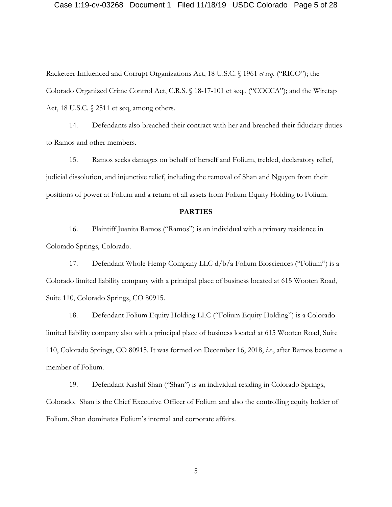#### Case 1:19-cv-03268 Document 1 Filed 11/18/19 USDC Colorado Page 5 of 28

Racketeer Influenced and Corrupt Organizations Act, 18 U.S.C. § 1961 *et seq.* ("RICO"); the Colorado Organized Crime Control Act, C.R.S. § 18-17-101 et seq., ("COCCA"); and the Wiretap Act, 18 U.S.C. § 2511 et seq, among others.

14. Defendants also breached their contract with her and breached their fiduciary duties to Ramos and other members.

15. Ramos seeks damages on behalf of herself and Folium, trebled, declaratory relief, judicial dissolution, and injunctive relief, including the removal of Shan and Nguyen from their positions of power at Folium and a return of all assets from Folium Equity Holding to Folium.

### **PARTIES**

16. Plaintiff Juanita Ramos ("Ramos") is an individual with a primary residence in Colorado Springs, Colorado.

17. Defendant Whole Hemp Company LLC d/b/a Folium Biosciences ("Folium") is a Colorado limited liability company with a principal place of business located at 615 Wooten Road, Suite 110, Colorado Springs, CO 80915.

18. Defendant Folium Equity Holding LLC ("Folium Equity Holding") is a Colorado limited liability company also with a principal place of business located at 615 Wooten Road, Suite 110, Colorado Springs, CO 80915. It was formed on December 16, 2018, *i.e.*, after Ramos became a member of Folium.

19. Defendant Kashif Shan ("Shan") is an individual residing in Colorado Springs, Colorado. Shan is the Chief Executive Officer of Folium and also the controlling equity holder of Folium. Shan dominates Folium's internal and corporate affairs.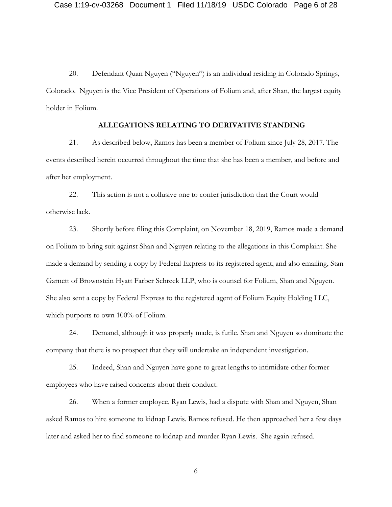20. Defendant Quan Nguyen ("Nguyen") is an individual residing in Colorado Springs, Colorado. Nguyen is the Vice President of Operations of Folium and, after Shan, the largest equity holder in Folium.

### **ALLEGATIONS RELATING TO DERIVATIVE STANDING**

21. As described below, Ramos has been a member of Folium since July 28, 2017. The events described herein occurred throughout the time that she has been a member, and before and after her employment.

22. This action is not a collusive one to confer jurisdiction that the Court would otherwise lack.

23. Shortly before filing this Complaint, on November 18, 2019, Ramos made a demand on Folium to bring suit against Shan and Nguyen relating to the allegations in this Complaint. She made a demand by sending a copy by Federal Express to its registered agent, and also emailing, Stan Garnett of Brownstein Hyatt Farber Schreck LLP, who is counsel for Folium, Shan and Nguyen. She also sent a copy by Federal Express to the registered agent of Folium Equity Holding LLC, which purports to own 100% of Folium.

24. Demand, although it was properly made, is futile. Shan and Nguyen so dominate the company that there is no prospect that they will undertake an independent investigation.

25. Indeed, Shan and Nguyen have gone to great lengths to intimidate other former employees who have raised concerns about their conduct.

26. When a former employee, Ryan Lewis, had a dispute with Shan and Nguyen, Shan asked Ramos to hire someone to kidnap Lewis. Ramos refused. He then approached her a few days later and asked her to find someone to kidnap and murder Ryan Lewis. She again refused.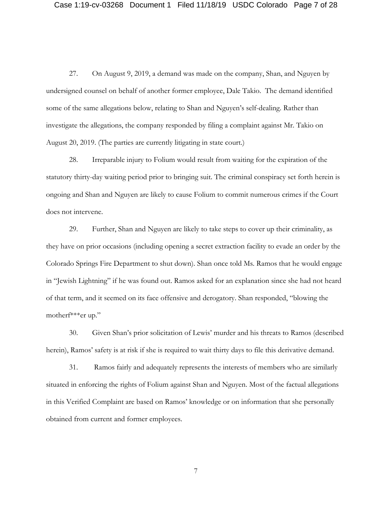27. On August 9, 2019, a demand was made on the company, Shan, and Nguyen by undersigned counsel on behalf of another former employee, Dale Takio. The demand identified some of the same allegations below, relating to Shan and Nguyen's self-dealing. Rather than investigate the allegations, the company responded by filing a complaint against Mr. Takio on August 20, 2019. (The parties are currently litigating in state court.)

28. Irreparable injury to Folium would result from waiting for the expiration of the statutory thirty-day waiting period prior to bringing suit. The criminal conspiracy set forth herein is ongoing and Shan and Nguyen are likely to cause Folium to commit numerous crimes if the Court does not intervene.

29. Further, Shan and Nguyen are likely to take steps to cover up their criminality, as they have on prior occasions (including opening a secret extraction facility to evade an order by the Colorado Springs Fire Department to shut down). Shan once told Ms. Ramos that he would engage in "Jewish Lightning" if he was found out. Ramos asked for an explanation since she had not heard of that term, and it seemed on its face offensive and derogatory. Shan responded, "blowing the motherf\*\*\*er up."

30. Given Shan's prior solicitation of Lewis' murder and his threats to Ramos (described herein), Ramos' safety is at risk if she is required to wait thirty days to file this derivative demand.

31. Ramos fairly and adequately represents the interests of members who are similarly situated in enforcing the rights of Folium against Shan and Nguyen. Most of the factual allegations in this Verified Complaint are based on Ramos' knowledge or on information that she personally obtained from current and former employees.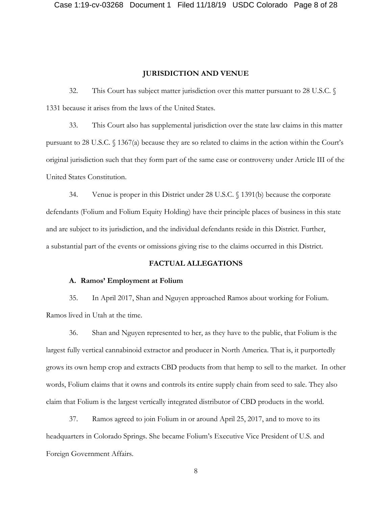### **JURISDICTION AND VENUE**

32. This Court has subject matter jurisdiction over this matter pursuant to 28 U.S.C. § 1331 because it arises from the laws of the United States.

33. This Court also has supplemental jurisdiction over the state law claims in this matter pursuant to 28 U.S.C. § 1367(a) because they are so related to claims in the action within the Court's original jurisdiction such that they form part of the same case or controversy under Article III of the United States Constitution.

34. Venue is proper in this District under 28 U.S.C. § 1391(b) because the corporate defendants (Folium and Folium Equity Holding) have their principle places of business in this state and are subject to its jurisdiction, and the individual defendants reside in this District. Further, a substantial part of the events or omissions giving rise to the claims occurred in this District.

### **FACTUAL ALLEGATIONS**

#### **A. Ramos' Employment at Folium**

35. In April 2017, Shan and Nguyen approached Ramos about working for Folium. Ramos lived in Utah at the time.

36. Shan and Nguyen represented to her, as they have to the public, that Folium is the largest fully vertical cannabinoid extractor and producer in North America. That is, it purportedly grows its own hemp crop and extracts CBD products from that hemp to sell to the market. In other words, Folium claims that it owns and controls its entire supply chain from seed to sale. They also claim that Folium is the largest vertically integrated distributor of CBD products in the world.

37. Ramos agreed to join Folium in or around April 25, 2017, and to move to its headquarters in Colorado Springs. She became Folium's Executive Vice President of U.S. and Foreign Government Affairs.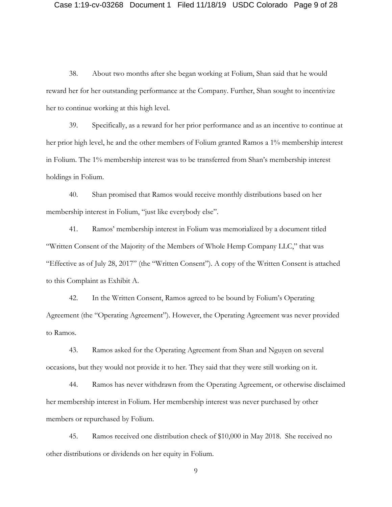38. About two months after she began working at Folium, Shan said that he would reward her for her outstanding performance at the Company. Further, Shan sought to incentivize her to continue working at this high level.

39. Specifically, as a reward for her prior performance and as an incentive to continue at her prior high level, he and the other members of Folium granted Ramos a 1% membership interest in Folium. The 1% membership interest was to be transferred from Shan's membership interest holdings in Folium.

40. Shan promised that Ramos would receive monthly distributions based on her membership interest in Folium, "just like everybody else".

41. Ramos' membership interest in Folium was memorialized by a document titled "Written Consent of the Majority of the Members of Whole Hemp Company LLC," that was "Effective as of July 28, 2017" (the "Written Consent"). A copy of the Written Consent is attached to this Complaint as Exhibit A.

42. In the Written Consent, Ramos agreed to be bound by Folium's Operating Agreement (the "Operating Agreement"). However, the Operating Agreement was never provided to Ramos.

43. Ramos asked for the Operating Agreement from Shan and Nguyen on several occasions, but they would not provide it to her. They said that they were still working on it.

44. Ramos has never withdrawn from the Operating Agreement, or otherwise disclaimed her membership interest in Folium. Her membership interest was never purchased by other members or repurchased by Folium.

45. Ramos received one distribution check of \$10,000 in May 2018. She received no other distributions or dividends on her equity in Folium.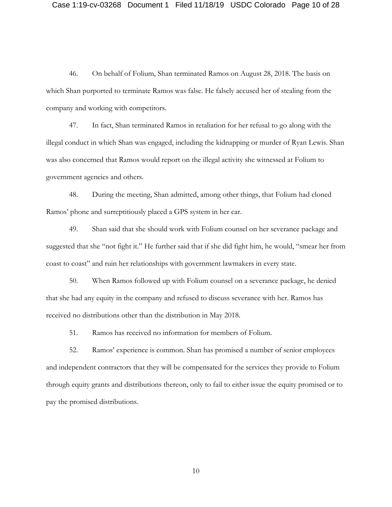46. On behalf of Folium, Shan terminated Ramos on August 28, 2018. The basis on which Shan purported to terminate Ramos was false. He falsely accused her of stealing from the company and working with competitors.

47. In fact, Shan terminated Ramos in retaliation for her refusal to go along with the illegal conduct in which Shan was engaged, including the kidnapping or murder of Ryan Lewis. Shan was also concerned that Ramos would report on the illegal activity she witnessed at Folium to government agencies and others.

48. During the meeting, Shan admitted, among other things, that Folium had cloned Ramos' phone and surreptitiously placed a GPS system in her car.

49. Shan said that she should work with Folium counsel on her severance package and suggested that she "not fight it." He further said that if she did fight him, he would, "smear her from coast to coast" and ruin her relationships with government lawmakers in every state.

50. When Ramos followed up with Folium counsel on a severance package, he denied that she had any equity in the company and refused to discuss severance with her. Ramos has received no distributions other than the distribution in May 2018.

51. Ramos has received no information for members of Folium.

52. Ramos' experience is common. Shan has promised a number of senior employees and independent contractors that they will be compensated for the services they provide to Folium through equity grants and distributions thereon, only to fail to either issue the equity promised or to pay the promised distributions.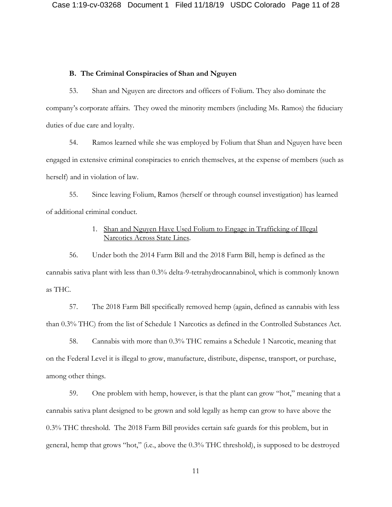### **B. The Criminal Conspiracies of Shan and Nguyen**

53. Shan and Nguyen are directors and officers of Folium. They also dominate the company's corporate affairs. They owed the minority members (including Ms. Ramos) the fiduciary duties of due care and loyalty.

54. Ramos learned while she was employed by Folium that Shan and Nguyen have been engaged in extensive criminal conspiracies to enrich themselves, at the expense of members (such as herself) and in violation of law.

55. Since leaving Folium, Ramos (herself or through counsel investigation) has learned of additional criminal conduct.

## 1. Shan and Nguyen Have Used Folium to Engage in Trafficking of Illegal Narcotics Across State Lines.

56. Under both the 2014 Farm Bill and the 2018 Farm Bill, hemp is defined as the cannabis sativa plant with less than 0.3% delta-9-tetrahydrocannabinol, which is commonly known as THC.

57. The 2018 Farm Bill specifically removed hemp (again, defined as cannabis with less than 0.3% THC) from the list of Schedule 1 Narcotics as defined in the Controlled Substances Act.

58. Cannabis with more than 0.3% THC remains a Schedule 1 Narcotic, meaning that on the Federal Level it is illegal to grow, manufacture, distribute, dispense, transport, or purchase, among other things.

59. One problem with hemp, however, is that the plant can grow "hot," meaning that a cannabis sativa plant designed to be grown and sold legally as hemp can grow to have above the 0.3% THC threshold. The 2018 Farm Bill provides certain safe guards for this problem, but in general, hemp that grows "hot," (i.e., above the 0.3% THC threshold), is supposed to be destroyed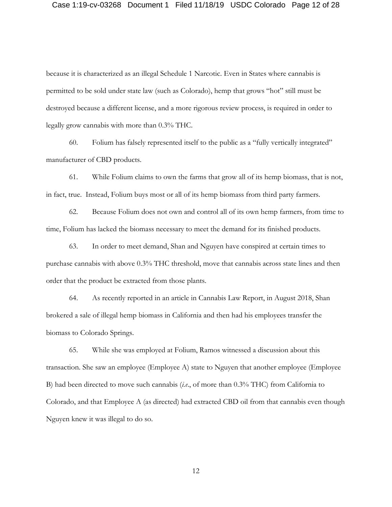#### Case 1:19-cv-03268 Document 1 Filed 11/18/19 USDC Colorado Page 12 of 28

because it is characterized as an illegal Schedule 1 Narcotic. Even in States where cannabis is permitted to be sold under state law (such as Colorado), hemp that grows "hot" still must be destroyed because a different license, and a more rigorous review process, is required in order to legally grow cannabis with more than 0.3% THC.

60. Folium has falsely represented itself to the public as a "fully vertically integrated" manufacturer of CBD products.

61. While Folium claims to own the farms that grow all of its hemp biomass, that is not, in fact, true. Instead, Folium buys most or all of its hemp biomass from third party farmers.

62. Because Folium does not own and control all of its own hemp farmers, from time to time, Folium has lacked the biomass necessary to meet the demand for its finished products.

63. In order to meet demand, Shan and Nguyen have conspired at certain times to purchase cannabis with above 0.3% THC threshold, move that cannabis across state lines and then order that the product be extracted from those plants.

64. As recently reported in an article in Cannabis Law Report, in August 2018, Shan brokered a sale of illegal hemp biomass in California and then had his employees transfer the biomass to Colorado Springs.

65. While she was employed at Folium, Ramos witnessed a discussion about this transaction. She saw an employee (Employee A) state to Nguyen that another employee (Employee B) had been directed to move such cannabis (*i.e*., of more than 0.3% THC) from California to Colorado, and that Employee A (as directed) had extracted CBD oil from that cannabis even though Nguyen knew it was illegal to do so.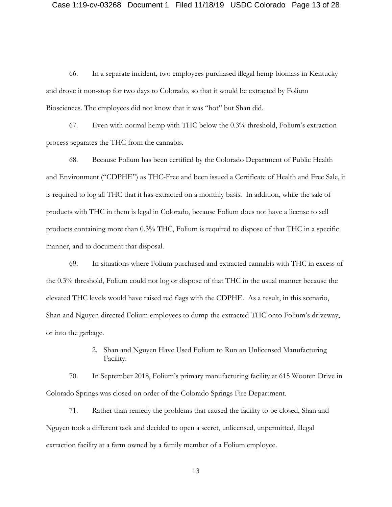66. In a separate incident, two employees purchased illegal hemp biomass in Kentucky and drove it non-stop for two days to Colorado, so that it would be extracted by Folium Biosciences. The employees did not know that it was "hot" but Shan did.

67. Even with normal hemp with THC below the 0.3% threshold, Folium's extraction process separates the THC from the cannabis.

68. Because Folium has been certified by the Colorado Department of Public Health and Environment ("CDPHE") as THC-Free and been issued a Certificate of Health and Free Sale, it is required to log all THC that it has extracted on a monthly basis. In addition, while the sale of products with THC in them is legal in Colorado, because Folium does not have a license to sell products containing more than 0.3% THC, Folium is required to dispose of that THC in a specific manner, and to document that disposal.

69. In situations where Folium purchased and extracted cannabis with THC in excess of the 0.3% threshold, Folium could not log or dispose of that THC in the usual manner because the elevated THC levels would have raised red flags with the CDPHE. As a result, in this scenario, Shan and Nguyen directed Folium employees to dump the extracted THC onto Folium's driveway, or into the garbage.

## 2. Shan and Nguyen Have Used Folium to Run an Unlicensed Manufacturing Facility.

70. In September 2018, Folium's primary manufacturing facility at 615 Wooten Drive in Colorado Springs was closed on order of the Colorado Springs Fire Department.

71. Rather than remedy the problems that caused the facility to be closed, Shan and Nguyen took a different tack and decided to open a secret, unlicensed, unpermitted, illegal extraction facility at a farm owned by a family member of a Folium employee.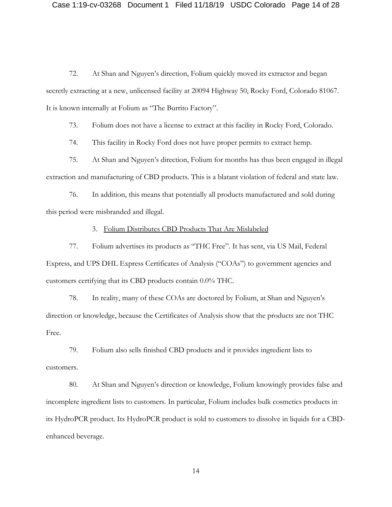#### Case 1:19-cv-03268 Document 1 Filed 11/18/19 USDC Colorado Page 14 of 28

72. At Shan and Nguyen's direction, Folium quickly moved its extractor and began secretly extracting at a new, unlicensed facility at 20094 Highway 50, Rocky Ford, Colorado 81067. It is known internally at Folium as "The Burrito Factory".

73. Folium does not have a license to extract at this facility in Rocky Ford, Colorado.

74. This facility in Rocky Ford does not have proper permits to extract hemp.

75. At Shan and Nguyen's direction, Folium for months has thus been engaged in illegal extraction and manufacturing of CBD products. This is a blatant violation of federal and state law.

76. In addition, this means that potentially all products manufactured and sold during this period were misbranded and illegal.

### 3. Folium Distributes CBD Products That Are Mislabeled

77. Folium advertises its products as "THC Free". It has sent, via US Mail, Federal Express, and UPS DHL Express Certificates of Analysis ("COAs") to government agencies and customers certifying that its CBD products contain 0.0% THC.

78. In reality, many of these COAs are doctored by Folium, at Shan and Nguyen's direction or knowledge, because the Certificates of Analysis show that the products are not THC Free.

79. Folium also sells finished CBD products and it provides ingredient lists to customers.

80. At Shan and Nguyen's direction or knowledge, Folium knowingly provides false and incomplete ingredient lists to customers. In particular, Folium includes bulk cosmetics products in its HydroPCR product. Its HydroPCR product is sold to customers to dissolve in liquids for a CBDenhanced beverage.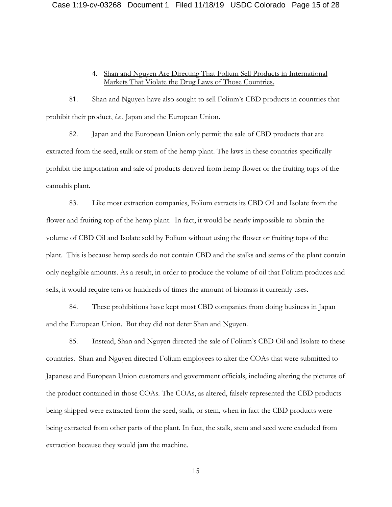## 4. Shan and Nguyen Are Directing That Folium Sell Products in International Markets That Violate the Drug Laws of Those Countries.

81. Shan and Nguyen have also sought to sell Folium's CBD products in countries that prohibit their product, *i.e.*, Japan and the European Union.

82. Japan and the European Union only permit the sale of CBD products that are extracted from the seed, stalk or stem of the hemp plant. The laws in these countries specifically prohibit the importation and sale of products derived from hemp flower or the fruiting tops of the cannabis plant.

83. Like most extraction companies, Folium extracts its CBD Oil and Isolate from the flower and fruiting top of the hemp plant. In fact, it would be nearly impossible to obtain the volume of CBD Oil and Isolate sold by Folium without using the flower or fruiting tops of the plant. This is because hemp seeds do not contain CBD and the stalks and stems of the plant contain only negligible amounts. As a result, in order to produce the volume of oil that Folium produces and sells, it would require tens or hundreds of times the amount of biomass it currently uses.

84. These prohibitions have kept most CBD companies from doing business in Japan and the European Union. But they did not deter Shan and Nguyen.

85. Instead, Shan and Nguyen directed the sale of Folium's CBD Oil and Isolate to these countries. Shan and Nguyen directed Folium employees to alter the COAs that were submitted to Japanese and European Union customers and government officials, including altering the pictures of the product contained in those COAs. The COAs, as altered, falsely represented the CBD products being shipped were extracted from the seed, stalk, or stem, when in fact the CBD products were being extracted from other parts of the plant. In fact, the stalk, stem and seed were excluded from extraction because they would jam the machine.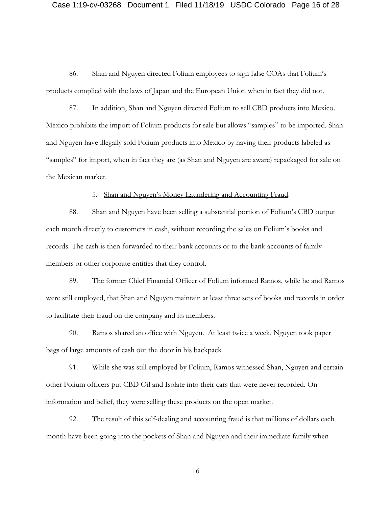#### Case 1:19-cv-03268 Document 1 Filed 11/18/19 USDC Colorado Page 16 of 28

86. Shan and Nguyen directed Folium employees to sign false COAs that Folium's products complied with the laws of Japan and the European Union when in fact they did not.

87. In addition, Shan and Nguyen directed Folium to sell CBD products into Mexico. Mexico prohibits the import of Folium products for sale but allows "samples" to be imported. Shan and Nguyen have illegally sold Folium products into Mexico by having their products labeled as "samples" for import, when in fact they are (as Shan and Nguyen are aware) repackaged for sale on the Mexican market.

5. Shan and Nguyen's Money Laundering and Accounting Fraud.

88. Shan and Nguyen have been selling a substantial portion of Folium's CBD output each month directly to customers in cash, without recording the sales on Folium's books and records. The cash is then forwarded to their bank accounts or to the bank accounts of family members or other corporate entities that they control.

89. The former Chief Financial Officer of Folium informed Ramos, while he and Ramos were still employed, that Shan and Nguyen maintain at least three sets of books and records in order to facilitate their fraud on the company and its members.

90. Ramos shared an office with Nguyen. At least twice a week, Nguyen took paper bags of large amounts of cash out the door in his backpack

91. While she was still employed by Folium, Ramos witnessed Shan, Nguyen and certain other Folium officers put CBD Oil and Isolate into their cars that were never recorded. On information and belief, they were selling these products on the open market.

92. The result of this self-dealing and accounting fraud is that millions of dollars each month have been going into the pockets of Shan and Nguyen and their immediate family when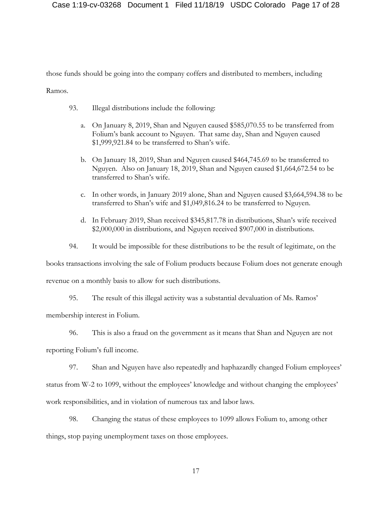those funds should be going into the company coffers and distributed to members, including

Ramos.

- 93. Illegal distributions include the following:
	- a. On January 8, 2019, Shan and Nguyen caused \$585,070.55 to be transferred from Folium's bank account to Nguyen. That same day, Shan and Nguyen caused \$1,999,921.84 to be transferred to Shan's wife.
	- b. On January 18, 2019, Shan and Nguyen caused \$464,745.69 to be transferred to Nguyen. Also on January 18, 2019, Shan and Nguyen caused \$1,664,672.54 to be transferred to Shan's wife.
	- c. In other words, in January 2019 alone, Shan and Nguyen caused \$3,664,594.38 to be transferred to Shan's wife and \$1,049,816.24 to be transferred to Nguyen.
	- d. In February 2019, Shan received \$345,817.78 in distributions, Shan's wife received \$2,000,000 in distributions, and Nguyen received \$907,000 in distributions.
- 94. It would be impossible for these distributions to be the result of legitimate, on the

books transactions involving the sale of Folium products because Folium does not generate enough

revenue on a monthly basis to allow for such distributions.

95. The result of this illegal activity was a substantial devaluation of Ms. Ramos'

membership interest in Folium.

96. This is also a fraud on the government as it means that Shan and Nguyen are not

reporting Folium's full income.

97. Shan and Nguyen have also repeatedly and haphazardly changed Folium employees'

status from W-2 to 1099, without the employees' knowledge and without changing the employees'

work responsibilities, and in violation of numerous tax and labor laws.

98. Changing the status of these employees to 1099 allows Folium to, among other

things, stop paying unemployment taxes on those employees.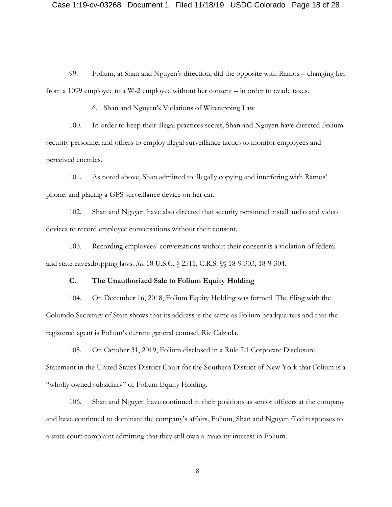99. Folium, at Shan and Nguyen's direction, did the opposite with Ramos – changing her from a 1099 employee to a W-2 employee without her consent – in order to evade taxes.

6. Shan and Nguyen's Violations of Wiretapping Law

100. In order to keep their illegal practices secret, Shan and Nguyen have directed Folium security personnel and others to employ illegal surveillance tactics to monitor employees and perceived enemies.

101. As noted above, Shan admitted to illegally copying and interfering with Ramos' phone, and placing a GPS surveillance device on her car.

102. Shan and Nguyen have also directed that security personnel install audio and video devices to record employee conversations without their consent.

103. Recording employees' conversations without their consent is a violation of federal and state eavesdropping laws. *See* 18 U.S.C. § 2511; C.R.S. §§ 18-9-303, 18-9-304.

#### **C. The Unauthorized Sale to Folium Equity Holding**

104. On December 16, 2018, Folium Equity Holding was formed. The filing with the Colorado Secretary of State shows that its address is the same as Folium headquarters and that the registered agent is Folium's current general counsel, Ric Calzada.

105. On October 31, 2019, Folium disclosed in a Rule 7.1 Corporate Disclosure Statement in the United States District Court for the Southern District of New York that Folium is a "wholly owned subsidiary" of Folium Equity Holding.

106. Shan and Nguyen have continued in their positions as senior officers at the company and have continued to dominate the company's affairs. Folium, Shan and Nguyen filed responses to a state court complaint admitting that they still own a majority interest in Folium.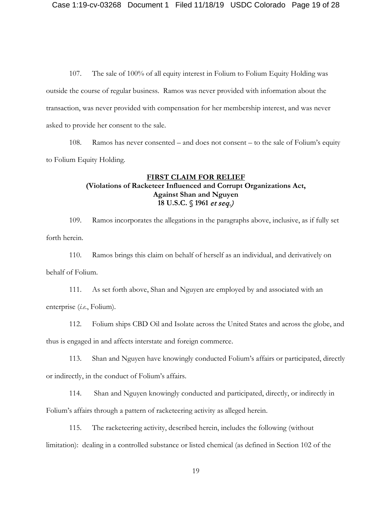107. The sale of 100% of all equity interest in Folium to Folium Equity Holding was outside the course of regular business. Ramos was never provided with information about the transaction, was never provided with compensation for her membership interest, and was never asked to provide her consent to the sale.

108. Ramos has never consented – and does not consent – to the sale of Folium's equity to Folium Equity Holding.

## **FIRST CLAIM FOR RELIEF (Violations of Racketeer Influenced and Corrupt Organizations Act, Against Shan and Nguyen 18 U.S.C. § 1961** et seq.)

109. Ramos incorporates the allegations in the paragraphs above, inclusive, as if fully set forth herein.

110. Ramos brings this claim on behalf of herself as an individual, and derivatively on behalf of Folium.

111. As set forth above, Shan and Nguyen are employed by and associated with an enterprise (*i.e.*, Folium).

112. Folium ships CBD Oil and Isolate across the United States and across the globe, and thus is engaged in and affects interstate and foreign commerce.

113. Shan and Nguyen have knowingly conducted Folium's affairs or participated, directly or indirectly, in the conduct of Folium's affairs.

114. Shan and Nguyen knowingly conducted and participated, directly, or indirectly in Folium's affairs through a pattern of racketeering activity as alleged herein.

115. The racketeering activity, described herein, includes the following (without limitation): dealing in a controlled substance or listed chemical (as defined in Section 102 of the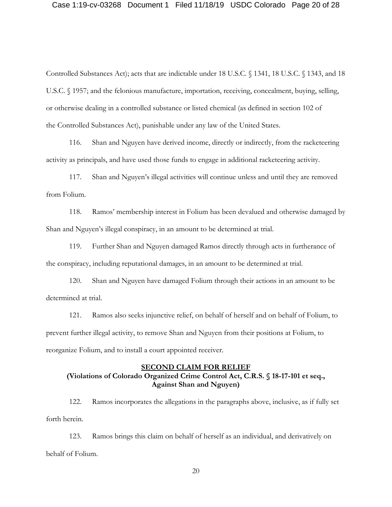Controlled Substances Act); acts that are indictable under 18 U.S.C. § 1341, 18 U.S.C. § 1343, and 18 U.S.C. § 1957; and the felonious manufacture, importation, receiving, concealment, buying, selling, or otherwise dealing in a controlled substance or listed chemical (as defined in section 102 of the Controlled Substances Act), punishable under any law of the United States.

116. Shan and Nguyen have derived income, directly or indirectly, from the racketeering activity as principals, and have used those funds to engage in additional racketeering activity.

117. Shan and Nguyen's illegal activities will continue unless and until they are removed from Folium.

118. Ramos' membership interest in Folium has been devalued and otherwise damaged by Shan and Nguyen's illegal conspiracy, in an amount to be determined at trial.

119. Further Shan and Nguyen damaged Ramos directly through acts in furtherance of the conspiracy, including reputational damages, in an amount to be determined at trial.

120. Shan and Nguyen have damaged Folium through their actions in an amount to be determined at trial.

121. Ramos also seeks injunctive relief, on behalf of herself and on behalf of Folium, to prevent further illegal activity, to remove Shan and Nguyen from their positions at Folium, to reorganize Folium, and to install a court appointed receiver.

#### **SECOND CLAIM FOR RELIEF**

## **(Violations of Colorado Organized Crime Control Act, C.R.S. § 18-17-101 et seq., Against Shan and Nguyen)**

122. Ramos incorporates the allegations in the paragraphs above, inclusive, as if fully set forth herein.

123. Ramos brings this claim on behalf of herself as an individual, and derivatively on behalf of Folium.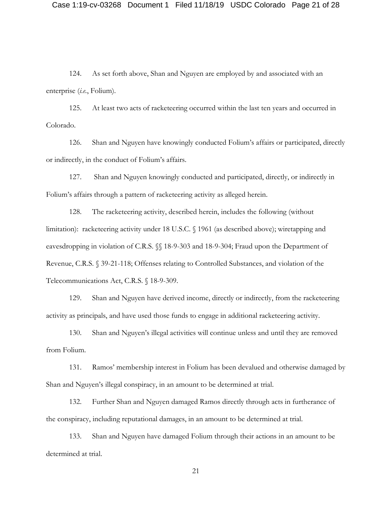#### Case 1:19-cv-03268 Document 1 Filed 11/18/19 USDC Colorado Page 21 of 28

124. As set forth above, Shan and Nguyen are employed by and associated with an enterprise (*i.e.*, Folium).

125. At least two acts of racketeering occurred within the last ten years and occurred in Colorado.

126. Shan and Nguyen have knowingly conducted Folium's affairs or participated, directly or indirectly, in the conduct of Folium's affairs.

127. Shan and Nguyen knowingly conducted and participated, directly, or indirectly in Folium's affairs through a pattern of racketeering activity as alleged herein.

128. The racketeering activity, described herein, includes the following (without limitation): racketeering activity under 18 U.S.C. § 1961 (as described above); wiretapping and eavesdropping in violation of C.R.S. §§ 18-9-303 and 18-9-304; Fraud upon the Department of Revenue, C.R.S. § 39-21-118; Offenses relating to Controlled Substances, and violation of the Telecommunications Act, C.R.S. § 18-9-309.

129. Shan and Nguyen have derived income, directly or indirectly, from the racketeering activity as principals, and have used those funds to engage in additional racketeering activity.

130. Shan and Nguyen's illegal activities will continue unless and until they are removed from Folium.

131. Ramos' membership interest in Folium has been devalued and otherwise damaged by Shan and Nguyen's illegal conspiracy, in an amount to be determined at trial.

132. Further Shan and Nguyen damaged Ramos directly through acts in furtherance of the conspiracy, including reputational damages, in an amount to be determined at trial.

133. Shan and Nguyen have damaged Folium through their actions in an amount to be determined at trial.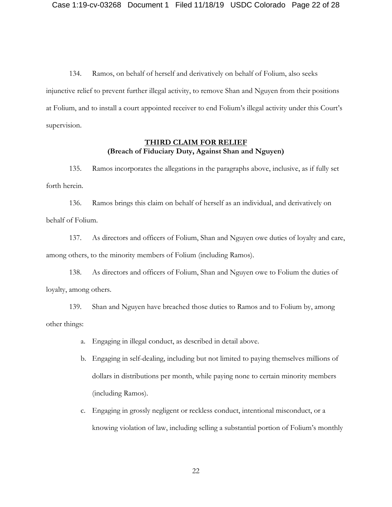134. Ramos, on behalf of herself and derivatively on behalf of Folium, also seeks injunctive relief to prevent further illegal activity, to remove Shan and Nguyen from their positions at Folium, and to install a court appointed receiver to end Folium's illegal activity under this Court's supervision.

## **THIRD CLAIM FOR RELIEF (Breach of Fiduciary Duty, Against Shan and Nguyen)**

135. Ramos incorporates the allegations in the paragraphs above, inclusive, as if fully set forth herein.

136. Ramos brings this claim on behalf of herself as an individual, and derivatively on behalf of Folium.

137. As directors and officers of Folium, Shan and Nguyen owe duties of loyalty and care, among others, to the minority members of Folium (including Ramos).

138. As directors and officers of Folium, Shan and Nguyen owe to Folium the duties of loyalty, among others.

139. Shan and Nguyen have breached those duties to Ramos and to Folium by, among other things:

- a. Engaging in illegal conduct, as described in detail above.
- b. Engaging in self-dealing, including but not limited to paying themselves millions of dollars in distributions per month, while paying none to certain minority members (including Ramos).
- c. Engaging in grossly negligent or reckless conduct, intentional misconduct, or a knowing violation of law, including selling a substantial portion of Folium's monthly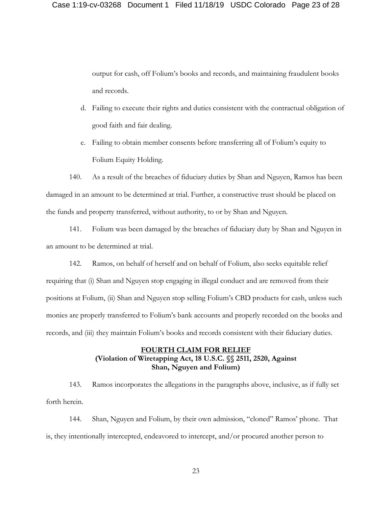output for cash, off Folium's books and records, and maintaining fraudulent books and records.

- d. Failing to execute their rights and duties consistent with the contractual obligation of good faith and fair dealing.
- e. Failing to obtain member consents before transferring all of Folium's equity to Folium Equity Holding.

140. As a result of the breaches of fiduciary duties by Shan and Nguyen, Ramos has been damaged in an amount to be determined at trial. Further, a constructive trust should be placed on the funds and property transferred, without authority, to or by Shan and Nguyen.

141. Folium was been damaged by the breaches of fiduciary duty by Shan and Nguyen in an amount to be determined at trial.

142. Ramos, on behalf of herself and on behalf of Folium, also seeks equitable relief requiring that (i) Shan and Nguyen stop engaging in illegal conduct and are removed from their positions at Folium, (ii) Shan and Nguyen stop selling Folium's CBD products for cash, unless such monies are properly transferred to Folium's bank accounts and properly recorded on the books and records, and (iii) they maintain Folium's books and records consistent with their fiduciary duties.

## **FOURTH CLAIM FOR RELIEF (Violation of Wiretapping Act, 18 U.S.C. §§ 2511, 2520, Against Shan, Nguyen and Folium)**

143. Ramos incorporates the allegations in the paragraphs above, inclusive, as if fully set forth herein.

144. Shan, Nguyen and Folium, by their own admission, "cloned" Ramos' phone. That is, they intentionally intercepted, endeavored to intercept, and/or procured another person to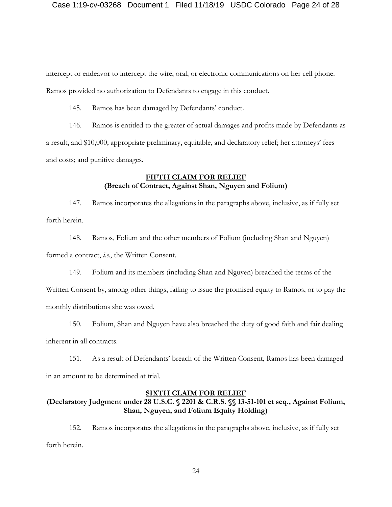intercept or endeavor to intercept the wire, oral, or electronic communications on her cell phone. Ramos provided no authorization to Defendants to engage in this conduct.

145. Ramos has been damaged by Defendants' conduct.

146. Ramos is entitled to the greater of actual damages and profits made by Defendants as a result, and \$10,000; appropriate preliminary, equitable, and declaratory relief; her attorneys' fees and costs; and punitive damages.

## **FIFTH CLAIM FOR RELIEF (Breach of Contract, Against Shan, Nguyen and Folium)**

147. Ramos incorporates the allegations in the paragraphs above, inclusive, as if fully set forth herein.

148. Ramos, Folium and the other members of Folium (including Shan and Nguyen) formed a contract, *i.e.*, the Written Consent.

149. Folium and its members (including Shan and Nguyen) breached the terms of the

Written Consent by, among other things, failing to issue the promised equity to Ramos, or to pay the monthly distributions she was owed.

150. Folium, Shan and Nguyen have also breached the duty of good faith and fair dealing inherent in all contracts.

151. As a result of Defendants' breach of the Written Consent, Ramos has been damaged in an amount to be determined at trial.

### **SIXTH CLAIM FOR RELIEF**

# **(Declaratory Judgment under 28 U.S.C. § 2201 & C.R.S. §§ 13-51-101 et seq., Against Folium, Shan, Nguyen, and Folium Equity Holding)**

152. Ramos incorporates the allegations in the paragraphs above, inclusive, as if fully set forth herein.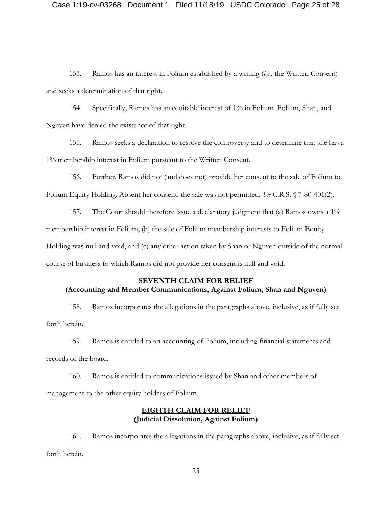### Case 1:19-cv-03268 Document 1 Filed 11/18/19 USDC Colorado Page 25 of 28

153. Ramos has an interest in Folium established by a writing (*i.e.*, the Written Consent) and seeks a determination of that right.

154. Specifically, Ramos has an equitable interest of 1% in Folium. Folium, Shan, and Nguyen have denied the existence of that right.

155. Ramos seeks a declaration to resolve the controversy and to determine that she has a 1% membership interest in Folium pursuant to the Written Consent.

156. Further, Ramos did not (and does not) provide her consent to the sale of Folium to Folium Equity Holding. Absent her consent, the sale was not permitted. *See* C.R.S. § 7-80-401(2).

157. The Court should therefore issue a declaratory judgment that (a) Ramos owns a 1% membership interest in Folium, (b) the sale of Folium membership interests to Folium Equity Holding was null and void, and (c) any other action taken by Shan or Nguyen outside of the normal course of business to which Ramos did not provide her consent is null and void.

#### **SEVENTH CLAIM FOR RELIEF**

## **(Accounting and Member Communications, Against Folium, Shan and Nguyen)**

158. Ramos incorporates the allegations in the paragraphs above, inclusive, as if fully set forth herein.

159. Ramos is entitled to an accounting of Folium, including financial statements and records of the board.

160. Ramos is entitled to communications issued by Shan and other members of management to the other equity holders of Folium.

## **EIGHTH CLAIM FOR RELIEF (Judicial Dissolution, Against Folium)**

161. Ramos incorporates the allegations in the paragraphs above, inclusive, as if fully set forth herein.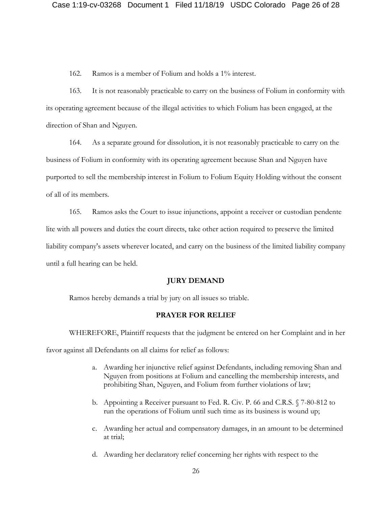162. Ramos is a member of Folium and holds a 1% interest.

163. It is not reasonably practicable to carry on the business of Folium in conformity with its operating agreement because of the illegal activities to which Folium has been engaged, at the direction of Shan and Nguyen.

164. As a separate ground for dissolution, it is not reasonably practicable to carry on the business of Folium in conformity with its operating agreement because Shan and Nguyen have purported to sell the membership interest in Folium to Folium Equity Holding without the consent of all of its members.

165. Ramos asks the Court to issue injunctions, appoint a receiver or custodian pendente lite with all powers and duties the court directs, take other action required to preserve the limited liability company's assets wherever located, and carry on the business of the limited liability company until a full hearing can be held.

#### **JURY DEMAND**

Ramos hereby demands a trial by jury on all issues so triable.

### **PRAYER FOR RELIEF**

WHEREFORE, Plaintiff requests that the judgment be entered on her Complaint and in her

favor against all Defendants on all claims for relief as follows:

- a. Awarding her injunctive relief against Defendants, including removing Shan and Nguyen from positions at Folium and cancelling the membership interests, and prohibiting Shan, Nguyen, and Folium from further violations of law;
- b. Appointing a Receiver pursuant to Fed. R. Civ. P. 66 and C.R.S. § 7-80-812 to run the operations of Folium until such time as its business is wound up;
- c. Awarding her actual and compensatory damages, in an amount to be determined at trial;
- d. Awarding her declaratory relief concerning her rights with respect to the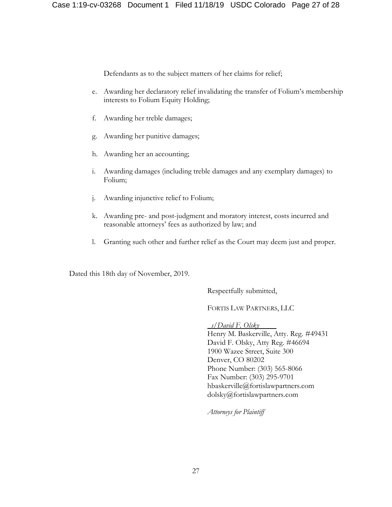Defendants as to the subject matters of her claims for relief;

- e. Awarding her declaratory relief invalidating the transfer of Folium's membership interests to Folium Equity Holding;
- f. Awarding her treble damages;
- g. Awarding her punitive damages;
- h. Awarding her an accounting;
- i. Awarding damages (including treble damages and any exemplary damages) to Folium;
- j. Awarding injunctive relief to Folium;
- k. Awarding pre- and post-judgment and moratory interest, costs incurred and reasonable attorneys' fees as authorized by law; and
- l. Granting such other and further relief as the Court may deem just and proper.

Dated this 18th day of November, 2019.

Respectfully submitted,

FORTIS LAW PARTNERS, LLC

*\_s/David F. Olsky* Henry M. Baskerville, Atty. Reg. #49431 David F. Olsky, Atty Reg. #46694 1900 Wazee Street, Suite 300 Denver, CO 80202 Phone Number: (303) 565-8066 Fax Number: (303) 295-9701 hbaskerville@fortislawpartners.com dolsky@fortislawpartners.com

*Attorneys for Plaintiff*